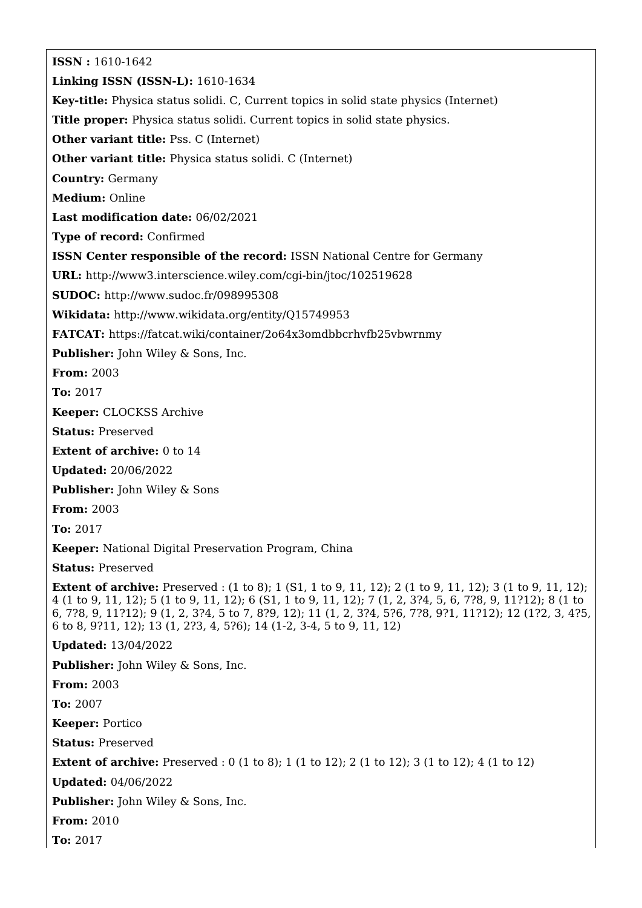**ISSN :** 1610-1642 **Linking ISSN (ISSN-L):** 1610-1634 **Key-title:** Physica status solidi. C, Current topics in solid state physics (Internet) **Title proper:** Physica status solidi. Current topics in solid state physics. **Other variant title:** Pss. C (Internet) **Other variant title:** Physica status solidi. C (Internet) **Country:** Germany **Medium:** Online **Last modification date:** 06/02/2021 **Type of record:** Confirmed **ISSN Center responsible of the record:** ISSN National Centre for Germany **URL:** <http://www3.interscience.wiley.com/cgi-bin/jtoc/102519628> **SUDOC:** <http://www.sudoc.fr/098995308> **Wikidata:** <http://www.wikidata.org/entity/Q15749953> **FATCAT:** <https://fatcat.wiki/container/2o64x3omdbbcrhvfb25vbwrnmy> **Publisher:** John Wiley & Sons, Inc. **From:** 2003 **To:** 2017 **Keeper:** CLOCKSS Archive **Status:** Preserved **Extent of archive:** 0 to 14 **Updated:** 20/06/2022 **Publisher:** John Wiley & Sons **From:** 2003 **To:** 2017 **Keeper:** National Digital Preservation Program, China **Status:** Preserved **Extent of archive:** Preserved : (1 to 8); 1 (S1, 1 to 9, 11, 12); 2 (1 to 9, 11, 12); 3 (1 to 9, 11, 12); 4 (1 to 9, 11, 12); 5 (1 to 9, 11, 12); 6 (S1, 1 to 9, 11, 12); 7 (1, 2, 3?4, 5, 6, 7?8, 9, 11?12); 8 (1 to 6, 7?8, 9, 11?12); 9 (1, 2, 3?4, 5 to 7, 8?9, 12); 11 (1, 2, 3?4, 5?6, 7?8, 9?1, 11?12); 12 (1?2, 3, 4?5, 6 to 8, 9?11, 12); 13 (1, 2?3, 4, 5?6); 14 (1-2, 3-4, 5 to 9, 11, 12) **Updated:** 13/04/2022 **Publisher:** John Wiley & Sons, Inc. **From:** 2003 **To:** 2007 **Keeper:** Portico **Status:** Preserved **Extent of archive:** Preserved : 0 (1 to 8); 1 (1 to 12); 2 (1 to 12); 3 (1 to 12); 4 (1 to 12) **Updated:** 04/06/2022 **Publisher:** John Wiley & Sons, Inc. **From:** 2010 **To:** 2017